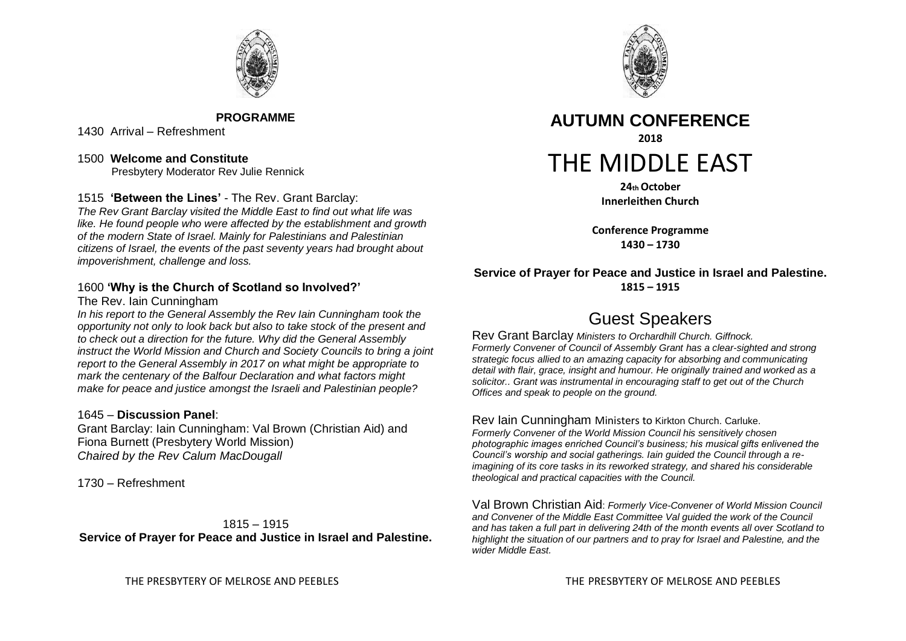

**PROGRAMME**

1430 Arrival – Refreshment

1500 **Welcome and Constitute**  Presbytery Moderator Rev Julie Rennick

1515 **'Between the Lines'** - The Rev. Grant Barclay:

*The Rev Grant Barclay visited the Middle East to find out what life was like. He found people who were affected by the establishment and growth of the modern State of Israel. Mainly for Palestinians and Palestinian citizens of Israel, the events of the past seventy years had brought about impoverishment, challenge and loss.* 

## 1600 **'Why is the Church of Scotland so Involved?'**

The Rev. Iain Cunningham

*In his report to the General Assembly the Rev Iain Cunningham took the opportunity not only to look back but also to take stock of the present and to check out a direction for the future. Why did the General Assembly instruct the World Mission and Church and Society Councils to bring a joint report to the General Assembly in 2017 on what might be appropriate to mark the centenary of the Balfour Declaration and what factors might make for peace and justice amongst the Israeli and Palestinian people?* 

## 1645 – **Discussion Panel**:

Grant Barclay: Iain Cunningham: Val Brown (Christian Aid) and Fiona Burnett (Presbytery World Mission) *Chaired by the Rev Calum MacDougall*

1730 – Refreshment

1815 – 1915 **Service of Prayer for Peace and Justice in Israel and Palestine.**



**AUTUMN CONFERENCE 2018** THE MIDDLE EAST

> **24th October Innerleithen Church**

**Conference Programme 1430 – 1730**

**Service of Prayer for Peace and Justice in Israel and Palestine. 1815 – 1915**

## Guest Speakers

Rev Grant Barclay *Ministers to Orchardhill Church. Giffnock. Formerly Convener of Council of Assembly Grant has a clear-sighted and strong strategic focus allied to an amazing capacity for absorbing and communicating detail with flair, grace, insight and humour. He originally trained and worked as a solicitor.. Grant was instrumental in encouraging staff to get out of the Church Offices and speak to people on the ground.* 

Rev Iain Cunningham Ministers to Kirkton Church. Carluke. *Formerly Convener of the World Mission Council his sensitively chosen photographic images enriched Council's business; his musical gifts enlivened the Council's worship and social gatherings. Iain guided the Council through a reimagining of its core tasks in its reworked strategy, and shared his considerable theological and practical capacities with the Council.* 

Val Brown Christian Aid: *Formerly Vice-Convener of World Mission Council and Convener of the Middle East Committee Val guided the work of the Council and has taken a full part in delivering 24th of the month events all over Scotland to highlight the situation of our partners and to pray for Israel and Palestine, and the wider Middle East.*

THE PRESBYTERY OF MELROSE AND PEEBLES THE PRESBYTERY OF MELROSE AND PEEBLES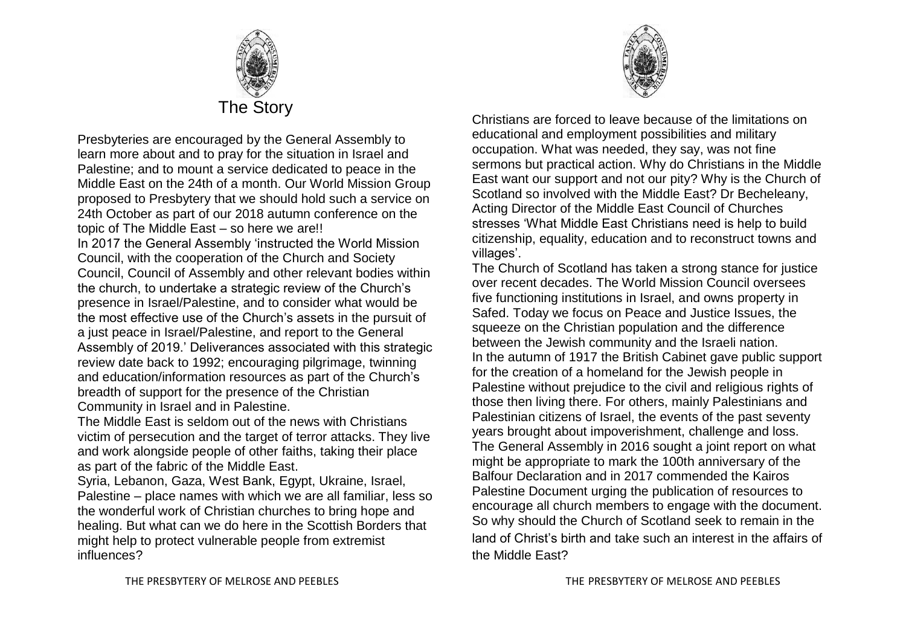

Presbyteries are encouraged by the General Assembly to learn more about and to pray for the situation in Israel and Palestine; and to mount a service dedicated to peace in the Middle East on the 24th of a month. Our World Mission Group proposed to Presbytery that we should hold such a service on 24th October as part of our 2018 autumn conference on the topic of The Middle East – so here we are!! In 2017 the General Assembly 'instructed the World Mission Council, with the cooperation of the Church and Society Council, Council of Assembly and other relevant bodies within the church, to undertake a strategic review of the Church's presence in Israel/Palestine, and to consider what would be the most effective use of the Church's assets in the pursuit of a just peace in Israel/Palestine, and report to the General Assembly of 2019.' Deliverances associated with this strategic review date back to 1992; encouraging pilgrimage, twinning and education/information resources as part of the Church's breadth of support for the presence of the Christian Community in Israel and in Palestine.

The Middle East is seldom out of the news with Christians victim of persecution and the target of terror attacks. They live and work alongside people of other faiths, taking their place as part of the fabric of the Middle East.

Syria, Lebanon, Gaza, West Bank, Egypt, Ukraine, Israel, Palestine – place names with which we are all familiar, less so the wonderful work of Christian churches to bring hope and healing. But what can we do here in the Scottish Borders that might help to protect vulnerable people from extremist influences?

Christians are forced to leave because of the limitations on educational and employment possibilities and military occupation. What was needed, they say, was not fine sermons but practical action. Why do Christians in the Middle East want our support and not our pity? Why is the Church of Scotland so involved with the Middle East? Dr Becheleany, Acting Director of the Middle East Council of Churches stresses 'What Middle East Christians need is help to build citizenship, equality, education and to reconstruct towns and villages'.

The Church of Scotland has taken a strong stance for justice over recent decades. The World Mission Council oversees five functioning institutions in Israel, and owns property in Safed. Today we focus on Peace and Justice Issues, the squeeze on the Christian population and the difference between the Jewish community and the Israeli nation. In the autumn of 1917 the British Cabinet gave public support for the creation of a homeland for the Jewish people in Palestine without prejudice to the civil and religious rights of those then living there. For others, mainly Palestinians and Palestinian citizens of Israel, the events of the past seventy years brought about impoverishment, challenge and loss. The General Assembly in 2016 sought a joint report on what might be appropriate to mark the 100th anniversary of the Balfour Declaration and in 2017 commended the Kairos Palestine Document urging the publication of resources to encourage all church members to engage with the document. So why should the Church of Scotland seek to remain in the land of Christ's birth and take such an interest in the affairs of the Middle East?